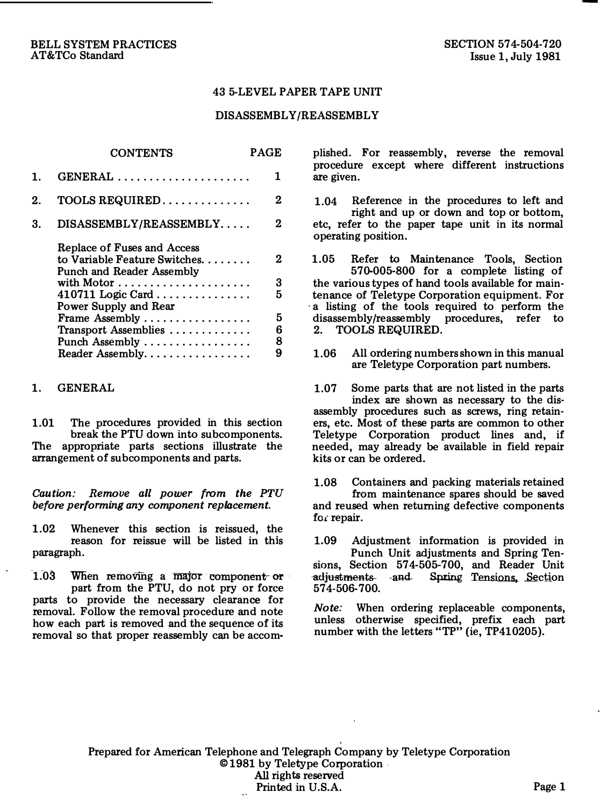## 43 5-LEVEL PAPER TAPE UNIT

#### DISASSEMBLY/REASSEMBLY

|    | <b>CONTENTS</b>                                                                           | PAGE |
|----|-------------------------------------------------------------------------------------------|------|
| 1. | $GENERAL$                                                                                 | 1    |
| 2. | $TOOLS$ REQUIRED                                                                          | 2    |
| 3. | DISASSEMBLY/REASSEMBLY                                                                    | 2    |
|    | Replace of Fuses and Access<br>to Variable Feature Switches.<br>Punch and Reader Assembly | 2    |
|    |                                                                                           | 3    |
|    | $410711$ Logic Card                                                                       | 5    |
|    | Power Supply and Rear                                                                     |      |
|    | Frame Assembly                                                                            | 5    |
|    | Transport Assemblies                                                                      | 6    |
|    | Punch Assembly $\dots\dots\dots\dots\dots\dots$                                           | 8    |
|    | Reader Assembly.                                                                          | 9    |

#### 1. GENERAL

1.01 The procedures provided in this section break the PTU down into subcomponents. The appropriate parts sections illustrate the arrangement of subcomponents and parts.

Caution: Remove all power from the PTU before performing any component replacement.

1.02 Whenever this section is reissued, the reason for reissue will be listed in this paragraph.

1.03 When removing a major component or part from the PTU, do not pry or force parts to provide the necessary clearance for removal. Follow the removal procedure and note how each part is removed and the sequence of its removal so that proper reassembly can be accomplished. For reassembly, reverse the removal procedure except where different instructions are given.

1.04 Reference in the procedures to left and right and up or down and top or bottom, etc, refer to the paper tape unit in its normal operating position.

1.05 Refer to Maintenance Tools, Section 570-005-800 for a complete listing of the various types of hand tools available for maintenance of Teletype Corporation equipment. For · a listing of the tools required to perform the disassembly/reassembly procedures, refer to 2. TOOLS REQUIRED.

1.06 All ordering numbers shown in this manual are Teletype Corporation part numbers.

1.07 Some parts that are not listed in the parts index are shown as necessary to the disassembly procedures such as screws, ring retainers, etc. Most of these parts are common to other Teletype Corporation product lines and, if needed, may already be available in field repair kits or can be ordered.

1.08 Containers and packing materials retained from maintenance spares should be saved and reused when returning defective components for repair.

1.09 Adjustment information is provided in Punch Unit adjustments and Spring Tenadjustments and sions, Section 57 4-505-700, and Reader Unit Spring Tensions, Section 574-506-700.

Note: When ordering replaceable components, unless otherwise specified, prefix each part number with the letters "TP" (ie, TP410205).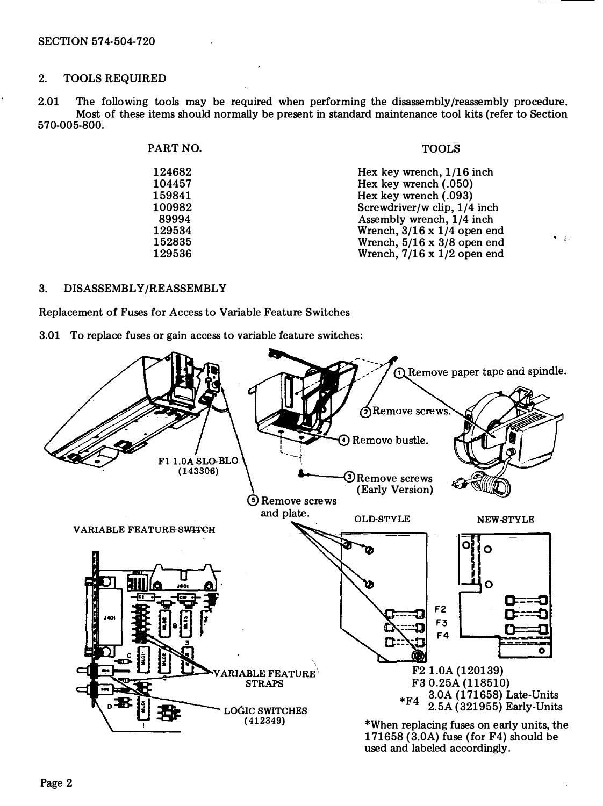## 2. TOOLS REQUIRED

2.01 The following tools may be required when performing the disassembly/reassembly procedure. Most of these items should normally be present in standard maintenance tool kits (refer to Section 570-005-800.

| PART NO. | <b>TOOLS</b>                       |  |
|----------|------------------------------------|--|
| 124682   | Hex key wrench, 1/16 inch          |  |
| 104457   | Hex key wrench (.050)              |  |
| 159841   | Hex key wrench (.093)              |  |
| 100982   | Screwdriver/w clip. 1/4 inch       |  |
| 89994    | Assembly wrench, 1/4 inch          |  |
| 129534   | Wrench, $3/16 \times 1/4$ open end |  |
| 152835   | Wrench, $5/16 \times 3/8$ open end |  |
| 129536   | Wrench, $7/16 \times 1/2$ open end |  |
|          |                                    |  |

 $\mathbf{r}=\frac{1}{2}$ 

### 3. DISASSEMBLY/REASSEMBLY

Replacement of Fuses for Access to Variable Feature Switches

3.01 To replace fuses or gain access to variable feature switches:

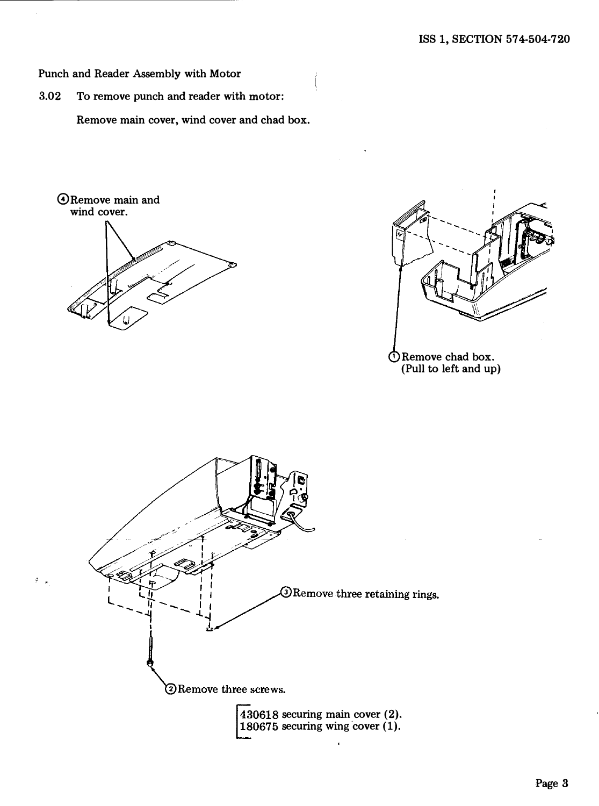Punch and Reader Assembly with Motor

3.02 To remove punch and reader with motor:

Remove main cover, wind cover and chad box.

@Remove main and wind cover.

¢



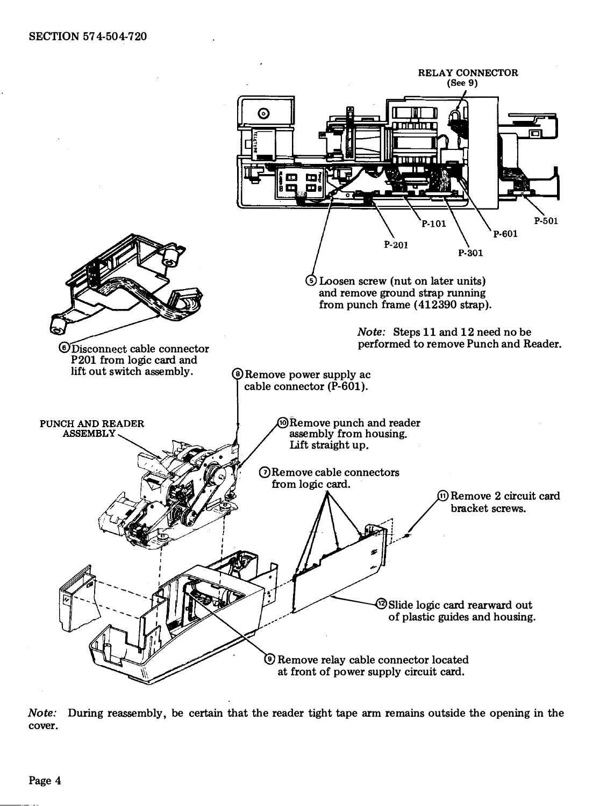

Note: During reassembly, be certain that the reader tight tape arm remains outside the opening in the cover.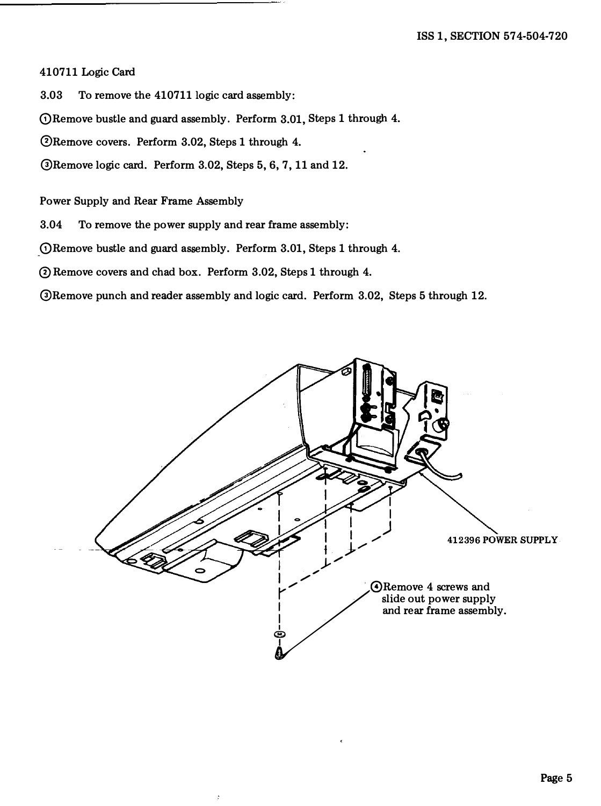# 410711 Logic Card

3.03 To remove the 410711 logic card assembly:

(!)Remove bustle and guard assembly. Perform 3.01, Steps 1 through 4.

®Remove covers. Perform 3.02, Steps 1 through 4.

@Remove logic card. Perform 3.02, Steps 5, 6, 7, 11 and 12.

Power Supply and Rear Frame Assembly

3.04 To remove the power supply and rear frame assembly:

\_(!)Remove bustle and guard assembly. Perform 3.01, Steps 1 through 4.

0 Remove covers and chad box. Perform 3.02, Steps 1 through 4.

@Remove punch and reader assembly and logic card. Perform 3.02, Steps 5 through 12.

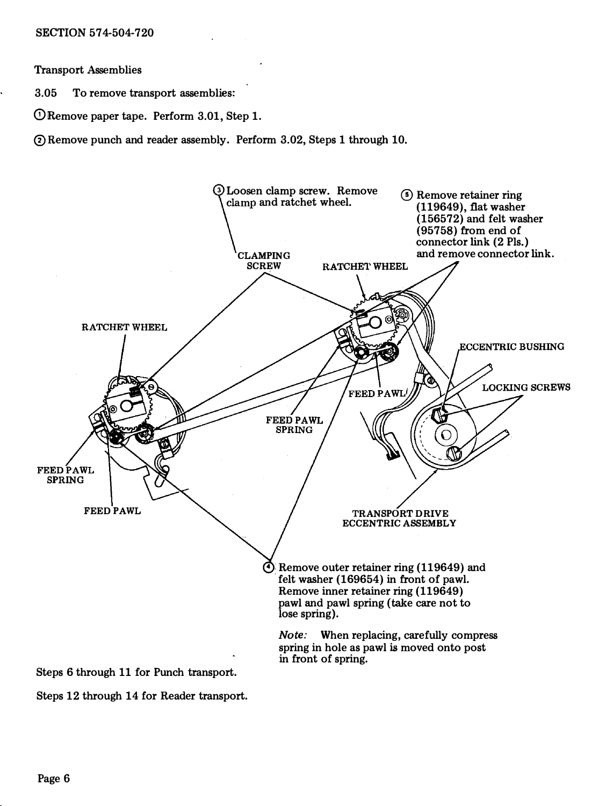Transport Assemblies

3.05 To remove transport assemblies:

 $\overline{O}$  Remove paper tape. Perform 3.01, Step 1.

®Remove punch and reader assembly. Perform 3.02, Steps 1 through 10.



Steps 12 through 14 for Reader transport.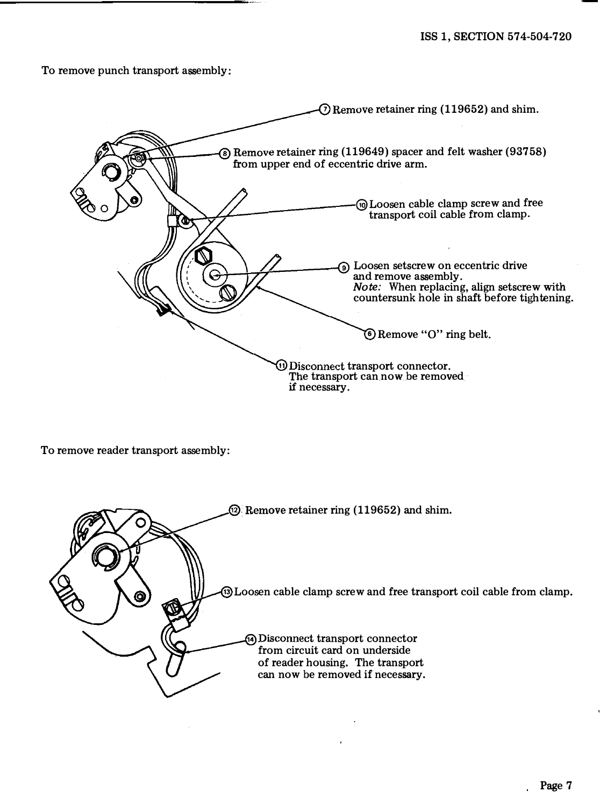To remove punch transport assembly:



To remove reader transport assembly:

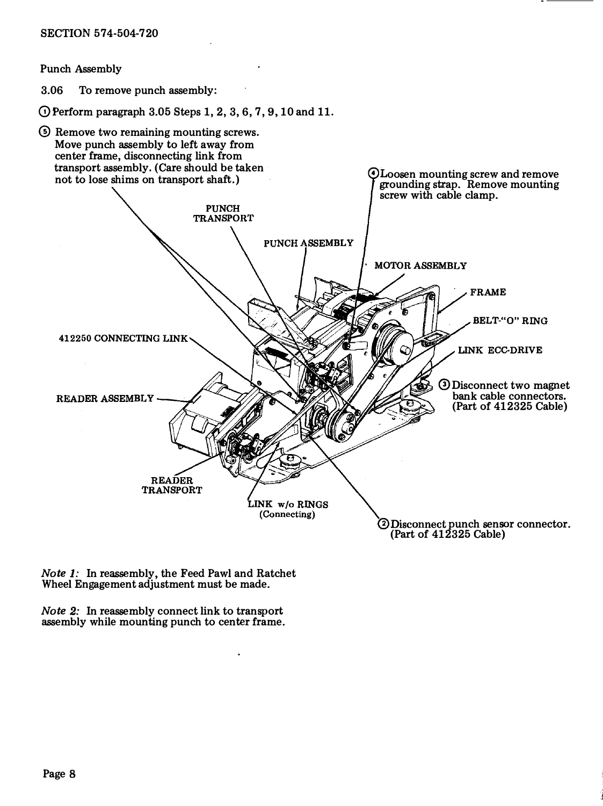Punch Assembly

3.06 To remove punch assembly:

 $\odot$  Perform paragraph 3.05 Steps 1, 2, 3, 6, 7, 9, 10 and 11.



Note 1: In reassembly, the Feed Pawl and Ratchet Wheel Engagement adjustment must be made.

Note 2: In reassembly connect link to transport assembly while mounting punch to center frame.